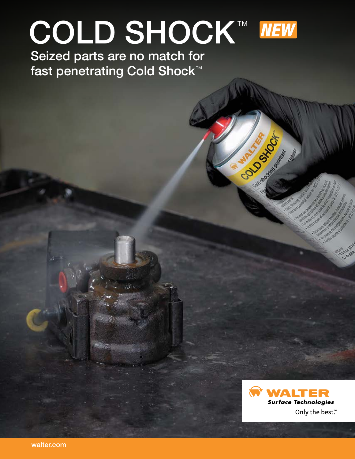# COLD SHOCK™ NEW



Construction of

Seized parts are no match for fast penetrating Cold Shock<sup>™</sup>